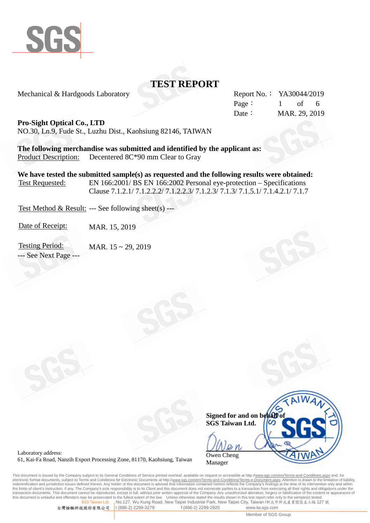

Mechanical & Hardgoods Laboratory Report No.: YA30044/2019

Page: 1 of 6 Date: MAR. 29, 2019

**Pro-Sight Optical Co., LTD**

NO.30, Ln.9, Fude St., Luzhu Dist., Kaohsiung 82146, TAIWAN

**The following merchandise was submitted and identified by the applicant as:** Product Description: Decentered 8C\*90 mm Clear to Gray

**We have tested the submitted sample(s) as requested and the following results were obtained:** Test Requested: EN 166:2001/ BS EN 166:2002 Personal eye-protection – Specifications Clause 7.1.2.1/ 7.1.2.2.2/ 7.1.2.2.3/ 7.1.2.3/ 7.1.3/ 7.1.5.1/ 7.1.4.2.1/ 7.1.7

Test Method & Result: --- See following sheet(s) ---

Date of Receipt: MAR. 15, 2019

Testing Period: MAR. 15 ~ 29, 2019 --- See Next Page ---



**Signed for and on behalf of SGS Taiwan Ltd.** Owen Cheng Manager

Laboratory address: 61, Kai-Fa Road, Nanzih Export Processing Zone, 81170, Kaohsiung, Taiwan

This document is issued by the Company subject to its General Conditions of Service printed overleaf, available on request or accessible at http://<u>www.sgs.com/en/Terms-and-Conditions.aspx</u> and, for<br>electronic format docum indemnification and jurisdiction issues defined therein. Any holder of this document is advised that information contained hereon reflects the Company's findings at the time of its intervention only and within<br>the limits o transaction documents. This document cannot be reproduced, except in full, without prior written approval of the Company. Any unauthorized alteration, forgery or falsification of the content or appearance of this document Unless otherwise stated the results shown in this test report refer only to the sample(s) tested **No.127, Wu Kung Road, New Taipei Industrial Park, New Taipei City, Taiwan /新北市新北產業園區五工路 127 號**<br>t (886-2) 2299-3279 f (886-2) 2299-2920 www.tw.sgs.com

台灣檢驗科技股份有限公司 t (886-2) 2299-3279 f (886-2) 2299-2920 www.tw.sgs.com

Member of SGS Group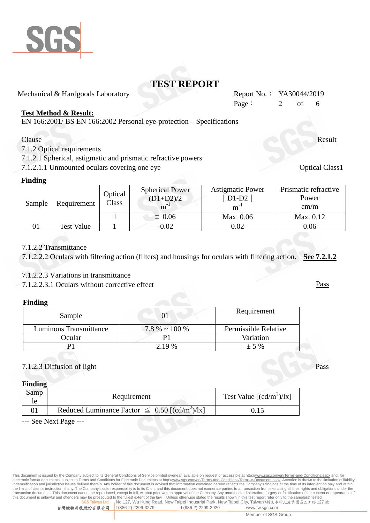

Mechanical & Hardgoods Laboratory

|        | Report No.: YA30044/2019 |       |  |
|--------|--------------------------|-------|--|
| Page : |                          | of of |  |

#### **Test Method & Result:**

EN 166:2001/ BS EN 166:2002 Personal eye-protection – Specifications

#### Clause Result

7.1.2 Optical requirements

7.1.2.1 Spherical, astigmatic and prismatic refractive powers

7.1.2.1.1 Unmounted oculars covering one eye **Optical Class1** 

#### **Finding**

| Sample | Requirement       | Optical<br>Class | <b>Spherical Power</b><br>$(D1+D2)/2$<br>$m^{-1}$ | <b>Astigmatic Power</b><br>$D1-D2$<br>$m^{-1}$ | Prismatic refractive<br>Power<br>cm/m |
|--------|-------------------|------------------|---------------------------------------------------|------------------------------------------------|---------------------------------------|
|        |                   |                  | $±$ 0.06                                          | Max. 0.06                                      | Max. 0.12                             |
|        | <b>Test Value</b> |                  | $-0.02$                                           | $0.02\,$                                       | 0.06                                  |

#### 7.1.2.2 Transmittance

7.1.2.2.2 Oculars with filtering action (filters) and housings for oculars with filtering action. **See 7.2.1.2**

#### 7.1.2.2.3 Variations in transmittance

7.1.2.2.3.1 Oculars without corrective effect Pass

#### **Finding**

| Sample                 |                     | Requirement          |
|------------------------|---------------------|----------------------|
| Luminous Transmittance | $17.8\% \sim 100\%$ | Permissible Relative |
| Ocular                 |                     | Variation            |
|                        | 2.19 %              | $+5\%$               |

### 7.1.2.3 Diffusion of light Pass

### **Finding**

| Samp | Requirement                                                    | Test Value $[(cd/m^2)/lx]$ |
|------|----------------------------------------------------------------|----------------------------|
|      | Reduced Luminance Factor $\leq 0.50$ [(cd/m <sup>2</sup> )/lx] | 0.15                       |
|      | $\mathsf{C}$ at $\mathsf{D}$                                   |                            |

--- See Next Page ---

This document is issued by the Company subject to its General Conditions of Service printed overleaf, available on request or accessible at http://<u>www.sgs.com/en/Terms-and-Conditions.aspx</u> and, for<br>electronic format docum indemnification and jurisdiction issues defined therein. Any holder of this document is advised that information contained hereon reflects the Company's findings at the time of its intervention only and within<br>the limits o transaction documents. This document cannot be reproduced, except in full, without prior written approval of the Company. Any unauthorized alteration, forgery or falsification of the content or appearance of this document Unless otherwise stated the results shown in this test report refer only to the sample(s) tested **No.127, Wu Kung Road, New Taipei Industrial Park, New Taipei City, Taiwan /新北市新北產業園區五工路 127 號**<br>t (886-2) 2299-3279 f (886-2) 2299-2920 www.tw.sgs.com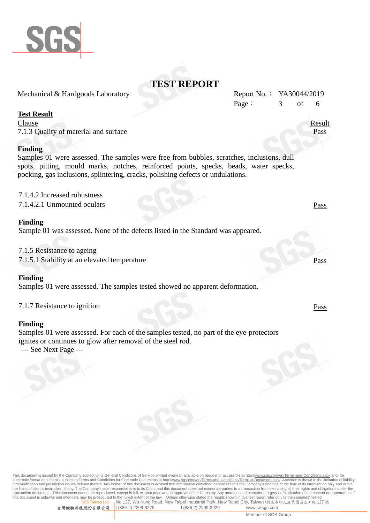

Mechanical & Hardgoods Laboratory Report No.: YA30044/2019

#### **Test Result**

<u>Clause</u> Result 7.1.3 Quality of material and surface Pass

#### **Finding**

Samples 01 were assessed. The samples were free from bubbles, scratches, inclusions, dull spots, pitting, mould marks, notches, reinforced points, specks, beads, water specks, pocking, gas inclusions, splintering, cracks, polishing defects or undulations.

7.1.4.2 Increased robustness 7.1.4.2.1 Unmounted oculars Pass

#### **Finding**

Sample 01 was assessed. None of the defects listed in the Standard was appeared.

7.1.5 Resistance to ageing 7.1.5.1 Stability at an elevated temperature Pass

#### **Finding**

Samples 01 were assessed. The samples tested showed no apparent deformation.

#### 7.1.7 Resistance to ignition Pass

#### **Finding**

Samples 01 were assessed. For each of the samples tested, no part of the eye-protectors ignites or continues to glow after removal of the steel rod. --- See Next Page ---

This document is issued by the Company subject to its General Conditions of Service printed overleaf, available on request or accessible at http://<u>www.sgs.com/en/Terms-and-Conditions.aspx</u> and, for<br>electronic format docum indemnification and jurisdiction issues defined therein. Any holder of this document is advised that information contained hereon reflects the Company's findings at the time of its intervention only and within the limits of client's instruction, if any. The Company's sole responsibility is to its Client and this document does not exonerate parties to a transaction from exercising all their rights and obligations under the transaction documents. This document cannot be reproduced, except in full, without prior written approval of the Company. Any unauthorized alteration, forgery or falsification of the content or appearance of this document Unless otherwise stated the results shown in this test report refer only to the sample(s) tested **No.127, Wu Kung Road, New Taipei Industrial Park, New Taipei City, Taiwan /新北市新北產業園區五工路 127 號**<br>t (886-2) 2299-3279 f (886-2) 2299-2920 www.tw.sgs.com

Page: 3 of 6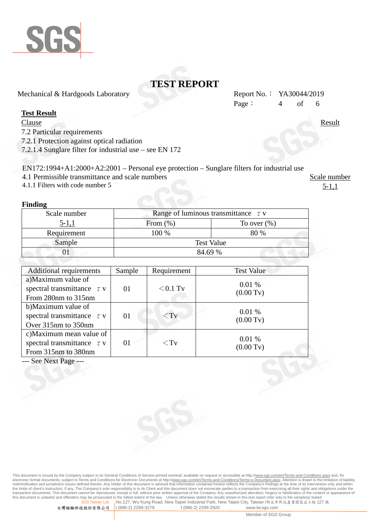

Mechanical & Hardgoods Laboratory Report No.: YA30044/2019

#### **Test Result**

<u>Clause</u> Result

7.2 Particular requirements

7.2.1 Protection against optical radiation

7.2.1.4 Sunglare filter for industrial use – see EN 172

EN172:1994+A1:2000+A2:2001 – Personal eye protection – Sunglare filters for industrial use

4.1 Permissible transmittance and scale numbers

4.1.1 Filters with code number 5

#### **Finding**

| Scale number | Range of luminous transmittance $\tau$ v |                 |  |
|--------------|------------------------------------------|-----------------|--|
| $5-1,1$      | From $(\% )$                             | To over $(\% )$ |  |
| Requirement  | 100 %                                    | 80 %            |  |
| Sample       | <b>Test Value</b>                        |                 |  |
|              | 84.69 %                                  |                 |  |

| <b>Additional requirements</b>                                                    | Sample | Requirement | <b>Test Value</b>            |
|-----------------------------------------------------------------------------------|--------|-------------|------------------------------|
| a)Maximum value of<br>spectral transmittance $\tau$ v<br>From 280nm to 315nm      | 01     | $<$ 0.1 Tv  | 0.01%<br>$(0.00 \text{ Tv})$ |
| b) Maximum value of<br>spectral transmittance $\tau$ v<br>Over 315nm to 350nm     | 01     | $\rm < Tv$  | 0.01%<br>$(0.00 \text{ Tv})$ |
| c)Maximum mean value of<br>spectral transmittance $\tau$ v<br>From 315nm to 380nm | 01     | $<$ Tv      | 0.01%<br>$(0.00 \text{ Tv})$ |

--- See Next Page ---

This document is issued by the Company subject to its General Conditions of Service printed overleaf, available on request or accessible at http://<u>www.sgs.com/en/Terms-and-Conditions.aspx</u> and, for<br>electronic format docum indemnification and jurisdiction issues defined therein. Any holder of this document is advised that information contained hereon reflects the Company's findings at the time of its intervention only and within<br>the limits o transaction documents. This document cannot be reproduced, except in full, without prior written approval of the Company. Any unauthorized alteration, forgery or falsification of the content or appearance of<br>this document **No.127, Wu Kung Road, New Taipei Industrial Park, New Taipei City, Taiwan** /新北市新北產業園區五工路 **127 號**<br>t (886-2) 2299-3279 f (886-2) 2299-2920 www.tw.sgs.com

Scale number 5-1,1

Page:  $4$  of 6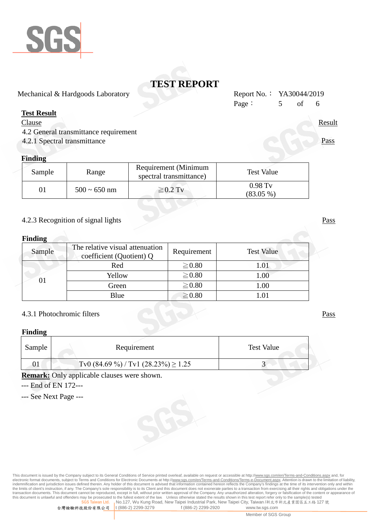

Mechanical & Hardgoods Laboratory Report No.: YA30044/2019

#### **Test Result**

- 4.2 General transmittance requirement
- 4.2.1 Spectral transmittance Pass

#### **Finding**

| Sample | Range             | Requirement (Minimum<br>spectral transmittance) | <b>Test Value</b>        |
|--------|-------------------|-------------------------------------------------|--------------------------|
|        | $500 \sim 650$ nm | $\geq$ 0.2 Tv                                   | $0.98$ Tv<br>$(83.05\%)$ |

#### 4.2.3 Recognition of signal lights Pass

| <b>Finding</b> |                                                             |             |                   |
|----------------|-------------------------------------------------------------|-------------|-------------------|
| Sample         | The relative visual attenuation<br>coefficient (Quotient) Q | Requirement | <b>Test Value</b> |
| 01             | Red                                                         | $\geq 0.80$ | 1.01              |
|                | Yellow                                                      | $\geq 0.80$ | 1.00              |
|                | Green                                                       | $\geq 0.80$ | 1.00              |
|                | Blue                                                        | $\geq 0.80$ |                   |

#### 4.3.1 Photochromic filters Pass

#### **Finding**

| Sample | Requirement                                       | <b>Test Value</b> |  |
|--------|---------------------------------------------------|-------------------|--|
| UΙ     | $\text{Tv0}$ (84.69 %) / Tv1 (28.23%) $\geq 1.25$ |                   |  |

**Remark:** Only applicable clauses were shown.

--- End of EN 172---

--- See Next Page ---

This document is issued by the Company subject to its General Conditions of Service printed overleaf, available on request or accessible at http://<u>www.sgs.com/en/Terms-and-Conditions.aspx</u> and, for<br>electronic format docum indemnification and jurisdiction issues defined therein. Any holder of this document is advised that information contained hereon reflects the Company's findings at the time of its intervention only and within<br>the limits o transaction documents. This document cannot be reproduced, except in full, without prior written approval of the Company. Any unauthorized alteration, forgery or falsification of the content or appearance of<br>this document **I Ltd.** No.127, Wu Kung Road, New Taipei Industrial Park, New Taipei City, Taiwan /新北市新北產業園區五工路 127 號<br>公司 t (886-2) 2299-3279 f (886-2) 2299-2920 www.tw.sgs.com

<u>Clause</u> Result

Page: 5 of 6